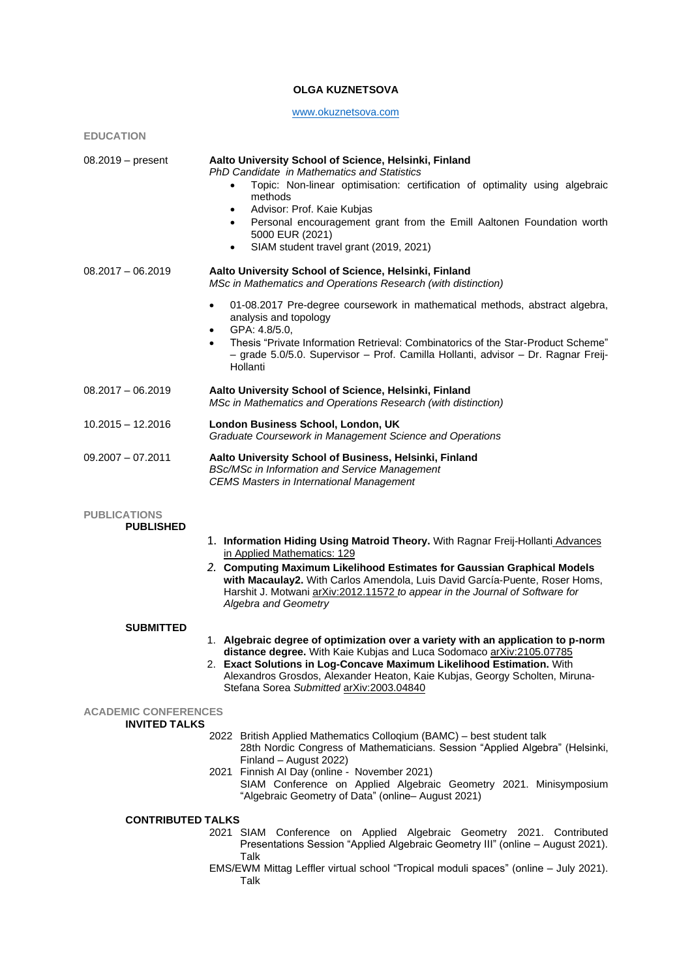## **OLGA KUZNETSOVA**

# [www.okuznetsova.com](http://www.okuznetsova.com/)

**EDUCATION**

| $08.2019 - present$                                 | Aalto University School of Science, Helsinki, Finland<br>PhD Candidate in Mathematics and Statistics<br>Topic: Non-linear optimisation: certification of optimality using algebraic<br>$\bullet$<br>methods<br>Advisor: Prof. Kaie Kubjas<br>$\bullet$<br>Personal encouragement grant from the Emill Aaltonen Foundation worth<br>$\bullet$<br>5000 EUR (2021)<br>SIAM student travel grant (2019, 2021)<br>$\bullet$ |  |  |  |
|-----------------------------------------------------|------------------------------------------------------------------------------------------------------------------------------------------------------------------------------------------------------------------------------------------------------------------------------------------------------------------------------------------------------------------------------------------------------------------------|--|--|--|
| $08.2017 - 06.2019$                                 | Aalto University School of Science, Helsinki, Finland<br>MSc in Mathematics and Operations Research (with distinction)                                                                                                                                                                                                                                                                                                 |  |  |  |
|                                                     | 01-08.2017 Pre-degree coursework in mathematical methods, abstract algebra,<br>$\bullet$<br>analysis and topology<br>GPA: 4.8/5.0,<br>٠<br>Thesis "Private Information Retrieval: Combinatorics of the Star-Product Scheme"<br>$\bullet$<br>- grade 5.0/5.0. Supervisor - Prof. Camilla Hollanti, advisor - Dr. Ragnar Freij-<br>Hollanti                                                                              |  |  |  |
| $08.2017 - 06.2019$                                 | Aalto University School of Science, Helsinki, Finland<br>MSc in Mathematics and Operations Research (with distinction)                                                                                                                                                                                                                                                                                                 |  |  |  |
| $10.2015 - 12.2016$                                 | London Business School, London, UK<br>Graduate Coursework in Management Science and Operations                                                                                                                                                                                                                                                                                                                         |  |  |  |
| $09.2007 - 07.2011$                                 | Aalto University School of Business, Helsinki, Finland<br>BSc/MSc in Information and Service Management<br><b>CEMS Masters in International Management</b>                                                                                                                                                                                                                                                             |  |  |  |
| <b>PUBLICATIONS</b><br><b>PUBLISHED</b>             |                                                                                                                                                                                                                                                                                                                                                                                                                        |  |  |  |
|                                                     | 1. Information Hiding Using Matroid Theory. With Ragnar Freij-Hollanti Advances                                                                                                                                                                                                                                                                                                                                        |  |  |  |
|                                                     | in Applied Mathematics: 129<br>2. Computing Maximum Likelihood Estimates for Gaussian Graphical Models<br>with Macaulay2. With Carlos Amendola, Luis David García-Puente, Roser Homs,<br>Harshit J. Motwani arXiv:2012.11572 to appear in the Journal of Software for<br>Algebra and Geometry                                                                                                                          |  |  |  |
| <b>SUBMITTED</b>                                    |                                                                                                                                                                                                                                                                                                                                                                                                                        |  |  |  |
|                                                     | 1. Algebraic degree of optimization over a variety with an application to p-norm<br>distance degree. With Kaie Kubjas and Luca Sodomaco arXiv:2105.07785<br>2. Exact Solutions in Log-Concave Maximum Likelihood Estimation. With<br>Alexandros Grosdos, Alexander Heaton, Kaie Kubjas, Georgy Scholten, Miruna-<br>Stefana Sorea Submitted arXiv:2003.04840                                                           |  |  |  |
| <b>ACADEMIC CONFERENCES</b><br><b>INVITED TALKS</b> |                                                                                                                                                                                                                                                                                                                                                                                                                        |  |  |  |
|                                                     | 2022 British Applied Mathematics Colloqium (BAMC) - best student talk<br>28th Nordic Congress of Mathematicians. Session "Applied Algebra" (Helsinki,<br>Finland - August 2022)<br>2021 Finnish Al Day (online - November 2021)<br>SIAM Conference on Applied Algebraic Geometry 2021. Minisymposium<br>"Algebraic Geometry of Data" (online- August 2021)                                                             |  |  |  |
| <b>CONTRIBUTED TALKS</b>                            |                                                                                                                                                                                                                                                                                                                                                                                                                        |  |  |  |
|                                                     | 2021 SIAM Conference on Applied Algebraic Geometry 2021. Contributed<br>Presentations Session "Applied Algebraic Geometry III" (online - August 2021).<br>Talk<br>$TMQ/T10001$ Mittog Leffler virtual sebect "Trepieal moduli encess" (opline $LU(2021)$                                                                                                                                                               |  |  |  |

EMS/EWM Mittag Leffler virtual school "Tropical moduli spaces" (online – July 2021). Talk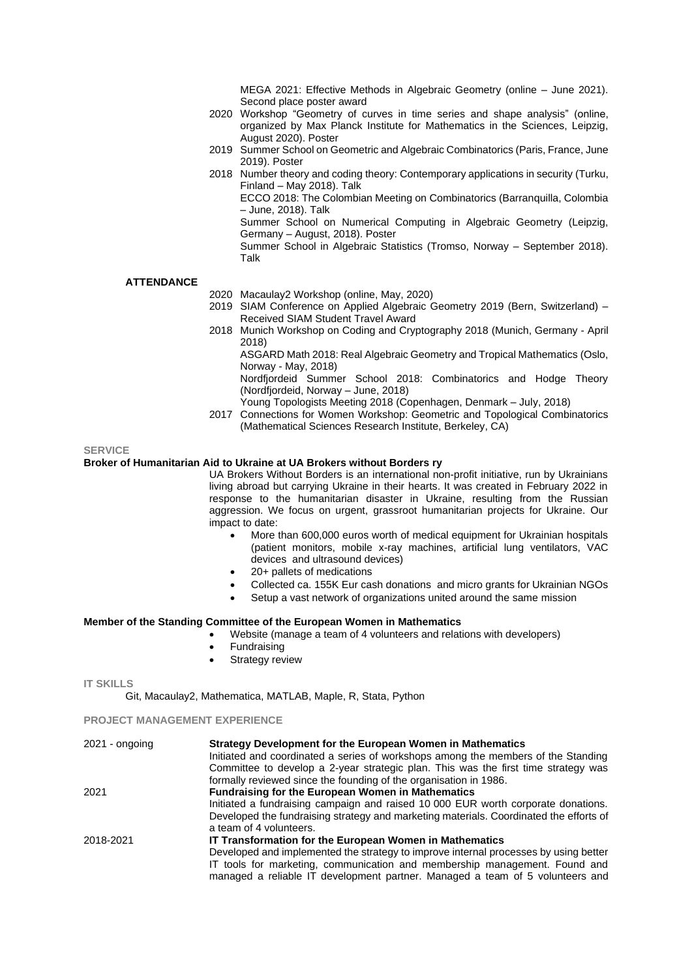MEGA 2021: Effective Methods in Algebraic Geometry (online – June 2021). Second place poster award

- 2020 Workshop "Geometry of curves in time series and shape analysis" (online, organized by Max Planck Institute for Mathematics in the Sciences, Leipzig, August 2020). Poster
- 2019 Summer School on Geometric and Algebraic Combinatorics (Paris, France, June 2019). Poster
- 2018 Number theory and coding theory: Contemporary applications in security (Turku, Finland – May 2018). Talk

ECCO 2018: The Colombian Meeting on Combinatorics (Barranquilla, Colombia – June, 2018). Talk

Summer School on Numerical Computing in Algebraic Geometry (Leipzig, Germany – August, 2018). Poster

Summer School in Algebraic Statistics (Tromso, Norway – September 2018). Talk

### **ATTENDANCE**

- 2020 Macaulay2 Workshop (online, May, 2020)
- 2019 SIAM Conference on Applied Algebraic Geometry 2019 (Bern, Switzerland) Received SIAM Student Travel Award
- 2018 Munich Workshop on Coding and Cryptography 2018 (Munich, Germany April 2018)

ASGARD Math 2018: Real Algebraic Geometry and Tropical Mathematics (Oslo, Norway - May, 2018)

Nordfjordeid Summer School 2018: Combinatorics and Hodge Theory (Nordfjordeid, Norway – June, 2018)

Young Topologists Meeting 2018 (Copenhagen, Denmark – July, 2018)

2017 Connections for Women Workshop: Geometric and Topological Combinatorics (Mathematical Sciences Research Institute, Berkeley, CA)

#### **SERVICE**

## **Broker of Humanitarian Aid to Ukraine at UA Brokers without Borders ry**

UA Brokers Without Borders is an international non-profit initiative, run by Ukrainians living abroad but carrying Ukraine in their hearts. It was created in February 2022 in response to the humanitarian disaster in Ukraine, resulting from the Russian aggression. We focus on urgent, grassroot humanitarian projects for Ukraine. Our impact to date:

- More than 600,000 euros worth of medical equipment for Ukrainian hospitals (patient monitors, mobile x-ray machines, artificial lung ventilators, VAC devices and ultrasound devices)
- 20+ pallets of medications
- Collected ca. 155K Eur cash donations and micro grants for Ukrainian NGOs
- Setup a vast network of organizations united around the same mission

#### **Member of the Standing Committee of the European Women in Mathematics**

- Website (manage a team of 4 volunteers and relations with developers)
- **Fundraising**
- Strategy review

**IT SKILLS**

Git, Macaulay2, Mathematica, MATLAB, Maple, R, Stata, Python

## **PROJECT MANAGEMENT EXPERIENCE**

| $2021 -$ ongoing | <b>Strategy Development for the European Women in Mathematics</b>                      |
|------------------|----------------------------------------------------------------------------------------|
|                  | Initiated and coordinated a series of workshops among the members of the Standing      |
|                  | Committee to develop a 2-year strategic plan. This was the first time strategy was     |
|                  | formally reviewed since the founding of the organisation in 1986.                      |
| 2021             | <b>Fundraising for the European Women in Mathematics</b>                               |
|                  | Initiated a fundraising campaign and raised 10 000 EUR worth corporate donations.      |
|                  | Developed the fundraising strategy and marketing materials. Coordinated the efforts of |
|                  | a team of 4 volunteers.                                                                |
| 2018-2021        | IT Transformation for the European Women in Mathematics                                |
|                  | Developed and implemented the strategy to improve internal processes by using better   |
|                  | IT tools for marketing, communication and membership management. Found and             |
|                  | managed a reliable IT development partner. Managed a team of 5 volunteers and          |